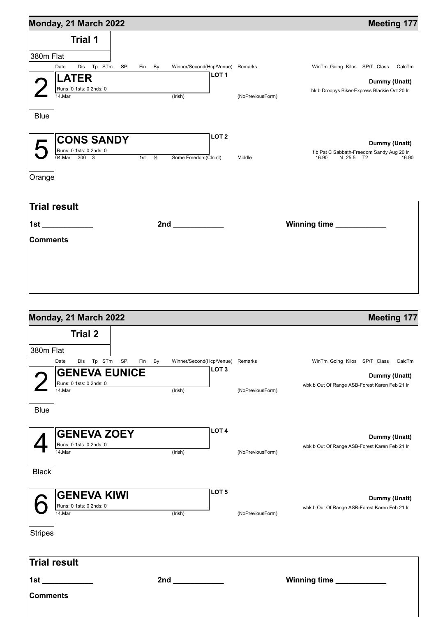| Monday, 21 March 2022                    |                   |                     |                                                      |                  | <b>Meeting 177</b>                                                       |
|------------------------------------------|-------------------|---------------------|------------------------------------------------------|------------------|--------------------------------------------------------------------------|
| <b>Trial 1</b>                           |                   |                     |                                                      |                  |                                                                          |
|                                          |                   |                     |                                                      |                  |                                                                          |
| 380m Flat                                |                   |                     |                                                      |                  |                                                                          |
| Dis Tp STm SPI<br>Date                   | Fin By            |                     | Winner/Second(Hcp/Venue) Remarks<br>LOT <sub>1</sub> |                  | WinTm Going Kilos SP/T Class CalcTm                                      |
| <b>LATER</b>                             |                   |                     |                                                      |                  | Dummy (Unatt)                                                            |
| Runs: 0 1sts: 0 2nds: 0<br>14.Mar        |                   |                     |                                                      |                  | bk b Droopys Biker-Express Blackie Oct 20 Ir                             |
|                                          |                   | (Irish)             |                                                      | (NoPreviousForm) |                                                                          |
| <b>Blue</b>                              |                   |                     |                                                      |                  |                                                                          |
|                                          |                   |                     |                                                      |                  |                                                                          |
|                                          |                   |                     | LOT <sub>2</sub>                                     |                  |                                                                          |
| <b>CONS SANDY</b>                        |                   |                     |                                                      |                  | Dummy (Unatt)                                                            |
| Runs: 0 1sts: 0 2nds: 0<br>04. Mar 300 3 | 1st $\frac{1}{2}$ | Some Freedom(Clnml) |                                                      | Middle           | f b Pat C Sabbath-Freedom Sandy Aug 20 Ir<br>16.90<br>N 25.5 T2<br>16.90 |
|                                          |                   |                     |                                                      |                  |                                                                          |
| Orange                                   |                   |                     |                                                      |                  |                                                                          |
|                                          |                   |                     |                                                      |                  |                                                                          |
|                                          |                   |                     |                                                      |                  |                                                                          |
| Trial result                             |                   |                     |                                                      |                  |                                                                          |
|                                          |                   |                     |                                                      |                  |                                                                          |
| 1st ____________                         |                   | 2nd _____________   |                                                      |                  | Winning time                                                             |
| Comments                                 |                   |                     |                                                      |                  |                                                                          |
|                                          |                   |                     |                                                      |                  |                                                                          |
|                                          |                   |                     |                                                      |                  |                                                                          |
|                                          |                   |                     |                                                      |                  |                                                                          |
|                                          |                   |                     |                                                      |                  |                                                                          |
|                                          |                   |                     |                                                      |                  |                                                                          |
|                                          |                   |                     |                                                      |                  |                                                                          |
|                                          |                   |                     |                                                      |                  |                                                                          |
| Monday, 21 March 2022                    |                   |                     |                                                      |                  | <b>Meeting 177</b>                                                       |
| <b>Trial 2</b>                           |                   |                     |                                                      |                  |                                                                          |
| 380m Flat                                |                   |                     |                                                      |                  |                                                                          |
| Dis Tp STm SPI<br>Date                   | Fin By            |                     | Winner/Second(Hcp/Venue) Remarks                     |                  | WinTm Going Kilos SP/T Class CalcTm                                      |
| <b>GENEVA EUNICE</b>                     |                   |                     | LOT <sub>3</sub>                                     |                  |                                                                          |
| Runs: 0 1sts: 0 2nds: 0                  |                   |                     |                                                      |                  | Dummy (Unatt)                                                            |
| $14$ . Mar                               |                   | (Irish)             |                                                      | (NoPreviousForm) | wbk b Out Of Range ASB-Forest Karen Feb 21 Ir                            |

Blue

|              | <b>IGENEVA ZOEY</b><br>  Runs: 0 1sts: 0 2nds: 0<br>14.Mar | (Irish) | <b>LOT 4</b><br>(NoPreviousForm) | Dummy (Unatt)<br>wbk b Out Of Range ASB-Forest Karen Feb 21 Ir |
|--------------|------------------------------------------------------------|---------|----------------------------------|----------------------------------------------------------------|
| <b>Black</b> |                                                            |         |                                  |                                                                |

| $\sim$ SENEVA KIWI<br>Runs: 0 1sts: 0 2nds: 0 |         | LOT <sub>5</sub> |                  | Dummy (Unatt)                                 |
|-----------------------------------------------|---------|------------------|------------------|-----------------------------------------------|
| 14.Mar                                        | (Irish) |                  | (NoPreviousForm) | wbk b Out Of Range ASB-Forest Karen Feb 21 Ir |

Stripes

| <b>Trial result</b> |     |              |
|---------------------|-----|--------------|
| $\vert$ 1st         | 2nd | Winning time |
| <b>Comments</b>     |     |              |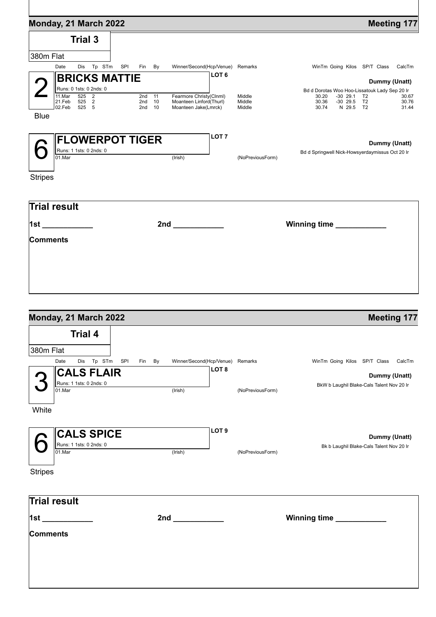| <b>Trial 3</b><br>Dis Tp STm<br>SPI<br>Date<br>Winner/Second(Hcp/Venue) Remarks<br>WinTm Going Kilos SP/T Class<br>Fin<br>By<br>CalcTm<br>LOT <sub>6</sub><br><b>BRICKS MATTIE</b><br>Dummy (Unatt)<br>Runs: 0 1sts: 0 2nds: 0<br>Bd d Dorotas Woo Hoo-Lissatouk Lady Sep 20 Ir<br>11.Mar<br>Fearmore Christy(Clnml)<br>525<br>$\overline{\mathbf{c}}$<br>2nd 11<br>Middle<br>30.20<br>-30 29.1<br>30.67<br>T2<br>21.Feb<br>525 2<br>$-30$ 29.5<br>Moanteen Linford(Thurl)<br>Middle<br>30.36<br>T <sub>2</sub><br>30.76<br>2nd<br>10<br>02.Feb<br>525 5<br>N 29.5 T2<br>2nd<br>Moanteen Jake(Lmrck)<br>Middle<br>30.74<br>31.44<br>10<br><b>Blue</b><br>LOT <sub>7</sub><br><b>FLOWERPOT TIGER</b><br>Dummy (Unatt)<br>Runs: 1 1sts: 0 2nds: 0<br>Bd d Springwell Nick-Howsyerdaymissus Oct 20 Ir<br>(Irish)<br>$01$ . Mar<br>(NoPreviousForm)<br><b>Stripes</b><br>Winning time<br>2nd and the control of the control of the control of the control of the control of the control of the control o | Monday, 21 March 2022 |  | <b>Meeting 177</b> |
|------------------------------------------------------------------------------------------------------------------------------------------------------------------------------------------------------------------------------------------------------------------------------------------------------------------------------------------------------------------------------------------------------------------------------------------------------------------------------------------------------------------------------------------------------------------------------------------------------------------------------------------------------------------------------------------------------------------------------------------------------------------------------------------------------------------------------------------------------------------------------------------------------------------------------------------------------------------------------------------------------|-----------------------|--|--------------------|
|                                                                                                                                                                                                                                                                                                                                                                                                                                                                                                                                                                                                                                                                                                                                                                                                                                                                                                                                                                                                      |                       |  |                    |
|                                                                                                                                                                                                                                                                                                                                                                                                                                                                                                                                                                                                                                                                                                                                                                                                                                                                                                                                                                                                      | 380m Flat             |  |                    |
|                                                                                                                                                                                                                                                                                                                                                                                                                                                                                                                                                                                                                                                                                                                                                                                                                                                                                                                                                                                                      |                       |  |                    |
|                                                                                                                                                                                                                                                                                                                                                                                                                                                                                                                                                                                                                                                                                                                                                                                                                                                                                                                                                                                                      |                       |  |                    |
|                                                                                                                                                                                                                                                                                                                                                                                                                                                                                                                                                                                                                                                                                                                                                                                                                                                                                                                                                                                                      |                       |  |                    |
|                                                                                                                                                                                                                                                                                                                                                                                                                                                                                                                                                                                                                                                                                                                                                                                                                                                                                                                                                                                                      |                       |  |                    |
|                                                                                                                                                                                                                                                                                                                                                                                                                                                                                                                                                                                                                                                                                                                                                                                                                                                                                                                                                                                                      |                       |  |                    |
|                                                                                                                                                                                                                                                                                                                                                                                                                                                                                                                                                                                                                                                                                                                                                                                                                                                                                                                                                                                                      |                       |  |                    |
|                                                                                                                                                                                                                                                                                                                                                                                                                                                                                                                                                                                                                                                                                                                                                                                                                                                                                                                                                                                                      |                       |  |                    |
|                                                                                                                                                                                                                                                                                                                                                                                                                                                                                                                                                                                                                                                                                                                                                                                                                                                                                                                                                                                                      |                       |  |                    |
|                                                                                                                                                                                                                                                                                                                                                                                                                                                                                                                                                                                                                                                                                                                                                                                                                                                                                                                                                                                                      |                       |  |                    |
|                                                                                                                                                                                                                                                                                                                                                                                                                                                                                                                                                                                                                                                                                                                                                                                                                                                                                                                                                                                                      |                       |  |                    |
|                                                                                                                                                                                                                                                                                                                                                                                                                                                                                                                                                                                                                                                                                                                                                                                                                                                                                                                                                                                                      |                       |  |                    |
|                                                                                                                                                                                                                                                                                                                                                                                                                                                                                                                                                                                                                                                                                                                                                                                                                                                                                                                                                                                                      |                       |  |                    |
|                                                                                                                                                                                                                                                                                                                                                                                                                                                                                                                                                                                                                                                                                                                                                                                                                                                                                                                                                                                                      |                       |  |                    |
|                                                                                                                                                                                                                                                                                                                                                                                                                                                                                                                                                                                                                                                                                                                                                                                                                                                                                                                                                                                                      | Trial result          |  |                    |
|                                                                                                                                                                                                                                                                                                                                                                                                                                                                                                                                                                                                                                                                                                                                                                                                                                                                                                                                                                                                      | $\vert$ 1st           |  |                    |
|                                                                                                                                                                                                                                                                                                                                                                                                                                                                                                                                                                                                                                                                                                                                                                                                                                                                                                                                                                                                      | Comments              |  |                    |
|                                                                                                                                                                                                                                                                                                                                                                                                                                                                                                                                                                                                                                                                                                                                                                                                                                                                                                                                                                                                      |                       |  |                    |
|                                                                                                                                                                                                                                                                                                                                                                                                                                                                                                                                                                                                                                                                                                                                                                                                                                                                                                                                                                                                      |                       |  |                    |
|                                                                                                                                                                                                                                                                                                                                                                                                                                                                                                                                                                                                                                                                                                                                                                                                                                                                                                                                                                                                      |                       |  |                    |
|                                                                                                                                                                                                                                                                                                                                                                                                                                                                                                                                                                                                                                                                                                                                                                                                                                                                                                                                                                                                      |                       |  |                    |
|                                                                                                                                                                                                                                                                                                                                                                                                                                                                                                                                                                                                                                                                                                                                                                                                                                                                                                                                                                                                      |                       |  |                    |

| Monday, 21 March 2022                                                                 |               |         |                                                      |                  | <b>Meeting 177</b>                                                                                   |
|---------------------------------------------------------------------------------------|---------------|---------|------------------------------------------------------|------------------|------------------------------------------------------------------------------------------------------|
| <b>Trial 4</b><br>380m Flat                                                           |               |         |                                                      |                  |                                                                                                      |
| Dis Tp STm<br>Date<br><b>CALS FLAIR</b><br>Runs: 1 1sts: 0 2nds: 0<br>01.Mar<br>White | SPI<br>Fin By | (Irish) | Winner/Second(Hcp/Venue) Remarks<br>LOT <sub>8</sub> | (NoPreviousForm) | WinTm Going Kilos SP/T Class<br>CalcTm<br>Dummy (Unatt)<br>BkW b Laughil Blake-Cals Talent Nov 20 Ir |
| <b>CALS SPICE</b><br>Runs: 1 1sts: 0 2nds: 0<br>$01$ . Mar<br><b>Stripes</b>          |               | (Irish) | LOT <sub>9</sub>                                     | (NoPreviousForm) | Dummy (Unatt)<br>Bk b Laughil Blake-Cals Talent Nov 20 Ir                                            |
| <b>Trial result</b><br><u> 1st_____________</u><br><b>Comments</b>                    |               |         |                                                      |                  | Winning time ___________                                                                             |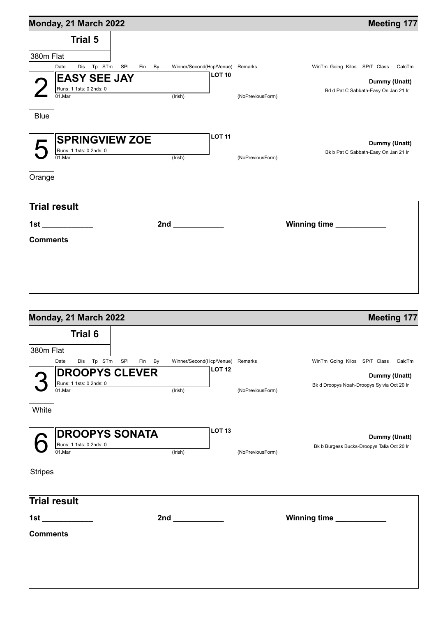| Monday, 21 March 2022                        |                                  | <b>Meeting 177</b>                   |
|----------------------------------------------|----------------------------------|--------------------------------------|
| <b>Trial 5</b>                               |                                  |                                      |
| 380m Flat                                    |                                  |                                      |
| Tp STm<br>SPI<br>Dis<br>Fin By<br>Date       | Winner/Second(Hcp/Venue) Remarks | WinTm Going Kilos SP/T Class CalcTm  |
| <b>EASY SEE JAY</b>                          | <b>LOT 10</b>                    | Dummy (Unatt)                        |
| Runs: 1 1sts: 0 2nds: 0                      |                                  | Bd d Pat C Sabbath-Easy On Jan 21 Ir |
| 01.Mar<br>(Irish)                            | (NoPreviousForm)                 |                                      |
|                                              |                                  |                                      |
| <b>Blue</b>                                  |                                  |                                      |
|                                              | <b>LOT 11</b>                    |                                      |
| <b>SPRINGVIEW ZOE</b>                        |                                  | Dummy (Unatt)                        |
| Runs: 1 1sts: 0 2nds: 0<br>01.Mar<br>(Irish) | (NoPreviousForm)                 | Bk b Pat C Sabbath-Easy On Jan 21 Ir |
|                                              |                                  |                                      |
| Orange                                       |                                  |                                      |
|                                              |                                  |                                      |
| <b>Trial result</b>                          |                                  |                                      |
|                                              |                                  |                                      |
| 1st _____________                            |                                  | Winning time                         |
| Comments                                     |                                  |                                      |
|                                              |                                  |                                      |
|                                              |                                  |                                      |
|                                              |                                  |                                      |
|                                              |                                  |                                      |
|                                              |                                  |                                      |
|                                              |                                  |                                      |
| Monday, 21 March 2022                        |                                  | <b>Meeting 177</b>                   |
| <b>Trial 6</b>                               |                                  |                                      |
|                                              |                                  |                                      |
| 380m Flat                                    |                                  |                                      |
| Date<br>Dis Tp STm SPI<br>By<br>Fin          | Winner/Second(Hcp/Venue) Remarks | WinTm Going Kilos SP/T Class CalcTm  |

|                | Date<br>Dis<br>STm<br>Tp                                   | Fin<br><b>SPI</b><br>By | Winner/Second(Hcp/Venue) |               | Remarks          | WinTm Going Kilos | SP/T Class<br>CalcTn                                        |
|----------------|------------------------------------------------------------|-------------------------|--------------------------|---------------|------------------|-------------------|-------------------------------------------------------------|
|                | <b>DROOPYS CLEVER</b><br>Runs: 1 1sts: 0 2nds: 0<br>01.Mar |                         | (Irish)                  | <b>LOT 12</b> | (NoPreviousForm) |                   | Dummy (Unatt)<br>Bk d Droopys Noah-Droopys Sylvia Oct 20 Ir |
| White          |                                                            |                         |                          |               |                  |                   |                                                             |
|                | <b>DROOPYS SONATA</b><br>Runs: 1 1sts: 0 2nds: 0<br>01.Mar |                         | (Irish)                  | <b>LOT 13</b> | (NoPreviousForm) |                   | Dummy (Unatt)<br>Bk b Burgess Bucks-Droopys Talia Oct 20 Ir |
| <b>Stripes</b> |                                                            |                         |                          |               |                  |                   |                                                             |
|                | <b>Trial result</b>                                        |                         |                          |               |                  |                   |                                                             |

| <b>Trial result</b> |     |                           |
|---------------------|-----|---------------------------|
| 1st                 | 2nd | Winning time ____________ |
| <b>Comments</b>     |     |                           |
|                     |     |                           |
|                     |     |                           |
|                     |     |                           |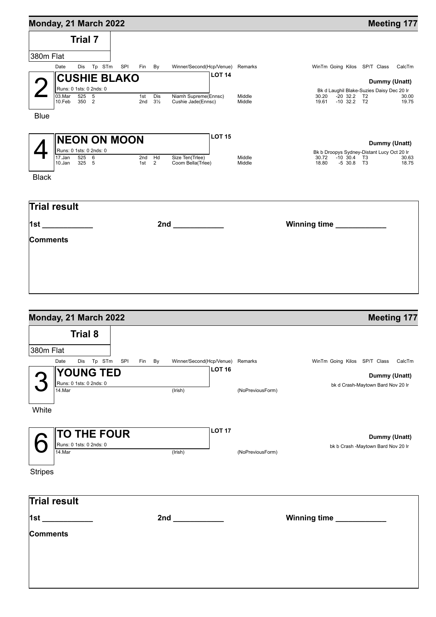| Monday, 21 March 2022                |                                                                                                                                                                                                                               |                                  | <b>Meeting 177</b>                                               |
|--------------------------------------|-------------------------------------------------------------------------------------------------------------------------------------------------------------------------------------------------------------------------------|----------------------------------|------------------------------------------------------------------|
| Trial 7                              |                                                                                                                                                                                                                               |                                  |                                                                  |
| 380m Flat                            |                                                                                                                                                                                                                               |                                  |                                                                  |
| Dis Tp STm SPI<br>Date               | Fin By                                                                                                                                                                                                                        | Winner/Second(Hcp/Venue) Remarks | WinTm Going Kilos SP/T Class CalcTm                              |
| <b>CUSHIE BLAKO</b>                  |                                                                                                                                                                                                                               | <b>LOT 14</b>                    | Dummy (Unatt)                                                    |
| Runs: 0 1sts: 0 2nds: 0              |                                                                                                                                                                                                                               |                                  | Bk d Laughil Blake-Suzies Daisy Dec 20 Ir                        |
| $525$ 5<br>03.Mar<br>350 2<br>10.Feb | 1st Dis<br>Niamh Supreme(Ennsc)<br>2nd $3\frac{1}{2}$<br>Cushie Jade(Ennsc)                                                                                                                                                   | Middle<br>Middle                 | 30.20<br>$-20$ 32.2 T2<br>30.00<br>19.61 -10 32.2 T2<br>19.75    |
| <b>Blue</b>                          |                                                                                                                                                                                                                               |                                  |                                                                  |
| <b>NEON ON MOON</b>                  |                                                                                                                                                                                                                               | <b>LOT 15</b>                    |                                                                  |
| Runs: 0 1sts: 0 2nds: 0              |                                                                                                                                                                                                                               |                                  | Dummy (Unatt)<br>Bk b Droopys Sydney-Distant Lucy Oct 20 Ir      |
| 17.Jan<br>525 6<br>325 5<br>10.Jan   | 2nd Hd<br>Size Ten(Trlee)<br>$1st$ 2<br>Coom Bella(Triee)                                                                                                                                                                     | Middle<br>Middle                 | $30.72$ $-10$ $30.4$ T3<br>30.63<br>-5 30.8 T3<br>18.80<br>18.75 |
| <b>Black</b>                         |                                                                                                                                                                                                                               |                                  |                                                                  |
|                                      |                                                                                                                                                                                                                               |                                  |                                                                  |
| <b>Trial result</b>                  |                                                                                                                                                                                                                               |                                  |                                                                  |
| 1st _____________                    | 2nd and the control of the control of the control of the control of the control of the control of the control of the control of the control of the control of the control of the control of the control of the control of the |                                  | Winning time ___________                                         |
| Comments                             |                                                                                                                                                                                                                               |                                  |                                                                  |
|                                      |                                                                                                                                                                                                                               |                                  |                                                                  |
|                                      |                                                                                                                                                                                                                               |                                  |                                                                  |
|                                      |                                                                                                                                                                                                                               |                                  |                                                                  |
|                                      |                                                                                                                                                                                                                               |                                  |                                                                  |
|                                      |                                                                                                                                                                                                                               |                                  |                                                                  |
|                                      |                                                                                                                                                                                                                               |                                  |                                                                  |

| <b>Trial 8</b><br>380m Flat<br>Dis Tp STm SPI<br>Date<br>Winner/Second(Hcp/Venue) Remarks<br>WinTm Going Kilos SP/T Class CalcTm<br>Fin By<br><b>LOT 16</b><br><b>YOUNG TED</b><br>Dummy (Unatt)<br>Runs: 0 1sts: 0 2nds: 0<br>bk d Crash-Maytown Bard Nov 20 Ir<br>14.Mar<br>(Irish)<br>(NoPreviousForm)<br>White<br><b>LOT 17</b><br><b>TO THE FOUR</b><br>Dummy (Unatt)<br>Runs: 0 1sts: 0 2nds: 0<br>bk b Crash -Maytown Bard Nov 20 Ir<br>$14$ . Mar<br>(Irish)<br>(NoPreviousForm)<br><b>Stripes</b><br><b>Trial result</b><br>Winning time | Monday, 21 March 2022 |  | <b>Meeting 177</b> |
|---------------------------------------------------------------------------------------------------------------------------------------------------------------------------------------------------------------------------------------------------------------------------------------------------------------------------------------------------------------------------------------------------------------------------------------------------------------------------------------------------------------------------------------------------|-----------------------|--|--------------------|
|                                                                                                                                                                                                                                                                                                                                                                                                                                                                                                                                                   |                       |  |                    |
|                                                                                                                                                                                                                                                                                                                                                                                                                                                                                                                                                   |                       |  |                    |
|                                                                                                                                                                                                                                                                                                                                                                                                                                                                                                                                                   |                       |  |                    |
|                                                                                                                                                                                                                                                                                                                                                                                                                                                                                                                                                   |                       |  |                    |
|                                                                                                                                                                                                                                                                                                                                                                                                                                                                                                                                                   |                       |  |                    |
|                                                                                                                                                                                                                                                                                                                                                                                                                                                                                                                                                   |                       |  |                    |
|                                                                                                                                                                                                                                                                                                                                                                                                                                                                                                                                                   |                       |  |                    |
|                                                                                                                                                                                                                                                                                                                                                                                                                                                                                                                                                   |                       |  |                    |
|                                                                                                                                                                                                                                                                                                                                                                                                                                                                                                                                                   |                       |  |                    |
|                                                                                                                                                                                                                                                                                                                                                                                                                                                                                                                                                   |                       |  |                    |
|                                                                                                                                                                                                                                                                                                                                                                                                                                                                                                                                                   |                       |  |                    |
|                                                                                                                                                                                                                                                                                                                                                                                                                                                                                                                                                   |                       |  |                    |
|                                                                                                                                                                                                                                                                                                                                                                                                                                                                                                                                                   |                       |  |                    |
|                                                                                                                                                                                                                                                                                                                                                                                                                                                                                                                                                   |                       |  |                    |
|                                                                                                                                                                                                                                                                                                                                                                                                                                                                                                                                                   |                       |  |                    |
|                                                                                                                                                                                                                                                                                                                                                                                                                                                                                                                                                   |                       |  |                    |
|                                                                                                                                                                                                                                                                                                                                                                                                                                                                                                                                                   |                       |  |                    |
|                                                                                                                                                                                                                                                                                                                                                                                                                                                                                                                                                   | <b>Comments</b>       |  |                    |
|                                                                                                                                                                                                                                                                                                                                                                                                                                                                                                                                                   |                       |  |                    |
|                                                                                                                                                                                                                                                                                                                                                                                                                                                                                                                                                   |                       |  |                    |
|                                                                                                                                                                                                                                                                                                                                                                                                                                                                                                                                                   |                       |  |                    |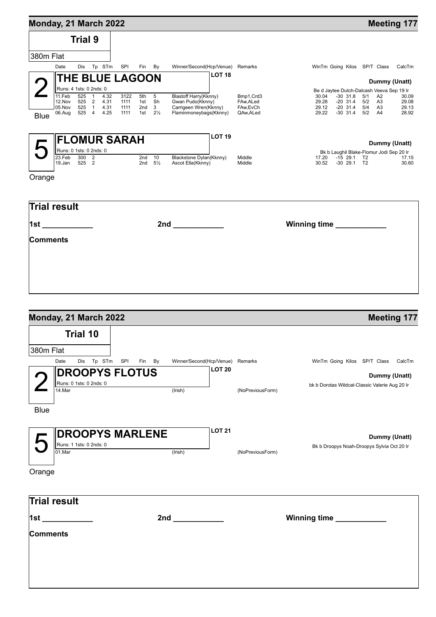| Monday, 21 March 2022 |                         |                |                |              |                        |            |                      |                                              |                        |                                           |                          |                                  |                                  | <b>Meeting 177</b> |
|-----------------------|-------------------------|----------------|----------------|--------------|------------------------|------------|----------------------|----------------------------------------------|------------------------|-------------------------------------------|--------------------------|----------------------------------|----------------------------------|--------------------|
|                       |                         | <b>Trial 9</b> |                |              |                        |            |                      |                                              |                        |                                           |                          |                                  |                                  |                    |
| 380m Flat             |                         |                |                |              |                        |            |                      |                                              |                        |                                           |                          |                                  |                                  |                    |
|                       | Date                    | Dis            | Tp             | STm          | SPI                    | Fin        | By                   | Winner/Second(Hcp/Venue)                     | Remarks                | WinTm Going Kilos                         |                          |                                  | SP/T Class                       | CalcTm             |
|                       |                         |                |                |              | <b>THE BLUE LAGOON</b> |            |                      | LOT <sub>18</sub>                            |                        |                                           |                          |                                  |                                  | Dummy (Unatt)      |
|                       | Runs: 4 1sts: 0 2nds: 0 |                |                |              |                        |            |                      |                                              |                        | Be d Jaytee Dutch-Dalcash Veeva Sep 19 Ir |                          |                                  |                                  |                    |
|                       | 11.Feb                  | 525            |                | 4.32         | 3122                   | 5th        | 5                    | Blastoff Harry(Kknny)                        | Bmp1, Crd3             | 30.04                                     | $-30$ 31.8               | 5/1                              | A2                               | 30.09              |
|                       | 12.Nov<br>05.Nov        | 525<br>525     | $\overline{2}$ | 4.31<br>4.31 | 1111<br>1111           | 1st<br>2nd | Sh<br>3              | Gwan Pudo(Kknny)<br>Carrigeen Wren(Kknny)    | FAw, ALed<br>FAw, EvCh | 29.28<br>29.12                            | $-20$ 31.4<br>$-20$ 31.4 | 5/2<br>5/4                       | A <sub>3</sub><br>A <sub>3</sub> | 29.08<br>29.13     |
| <b>Blue</b>           | 06.Aug                  | 525            | 4              | 4.25         | 1111                   | 1st        | $2\frac{1}{2}$       | Flaminmoneybags(Kknny)                       | QAw, ALed              | 29.22                                     | $-30$ 31.4               | 5/2                              | A4                               | 28.92              |
|                       |                         |                |                |              | <b>FLOMUR SARAH</b>    |            |                      | <b>LOT 19</b>                                |                        |                                           |                          |                                  |                                  | Dummy (Unatt)      |
|                       | Runs: 0 1sts: 0 2nds: 0 |                |                |              |                        |            |                      |                                              |                        | Bk b Laughil Blake-Flomur Jodi Sep 20 Ir  |                          |                                  |                                  |                    |
|                       | 23.Feb<br>19.Jan        | 300<br>525     | 2<br>2         |              |                        | 2nd<br>2nd | 10<br>$5\frac{1}{2}$ | Blackstone Dylan(Kknny)<br>Ascot Ella(Kknny) | Middle<br>Middle       | 17.20<br>30.52                            | $-15$ 29.1<br>$-30$ 29.1 | T <sub>2</sub><br>T <sub>2</sub> |                                  | 17.15<br>30.60     |

| <b>Trial result</b> |                           |
|---------------------|---------------------------|
| 1st _____________   | Winning time ____________ |
| <b>Comments</b>     |                           |
|                     |                           |
|                     |                           |
|                     |                           |

Orange

| Monday, 21 March 2022   |                                                                                                                |               |                  | <b>Meeting 177</b>                             |
|-------------------------|----------------------------------------------------------------------------------------------------------------|---------------|------------------|------------------------------------------------|
| <b>Trial 10</b>         |                                                                                                                |               |                  |                                                |
| 380m Flat               |                                                                                                                |               |                  |                                                |
| Dis Tp STm SPI<br>Date  | Winner/Second(Hcp/Venue) Remarks<br>Fin By                                                                     |               |                  | WinTm Going Kilos SP/T Class<br>CalcTm         |
| <b>DROOPYS FLOTUS</b>   |                                                                                                                | <b>LOT 20</b> |                  | Dummy (Unatt)                                  |
| Runs: 0 1sts: 0 2nds: 0 |                                                                                                                |               |                  | bk b Dorotas Wildcat-Classic Valerie Aug 20 Ir |
| 14.Mar                  | (Irish)                                                                                                        |               | (NoPreviousForm) |                                                |
| <b>Blue</b>             |                                                                                                                |               |                  |                                                |
|                         |                                                                                                                |               |                  |                                                |
|                         | <b>DROOPYS MARLENE</b>                                                                                         | <b>LOT 21</b> |                  |                                                |
| Runs: 1 1sts: 0 2nds: 0 |                                                                                                                |               |                  | Dummy (Unatt)                                  |
| $01$ . Mar              | (Irish)                                                                                                        |               | (NoPreviousForm) | Bk b Droopys Noah-Droopys Sylvia Oct 20 Ir     |
|                         |                                                                                                                |               |                  |                                                |
| Orange                  |                                                                                                                |               |                  |                                                |
|                         |                                                                                                                |               |                  |                                                |
| Trial result            |                                                                                                                |               |                  |                                                |
|                         |                                                                                                                |               |                  |                                                |
| 1st ____________        | 2nd and the state of the state of the state of the state of the state of the state of the state of the state o |               |                  | Winning time                                   |
| <b>Comments</b>         |                                                                                                                |               |                  |                                                |
|                         |                                                                                                                |               |                  |                                                |
|                         |                                                                                                                |               |                  |                                                |
|                         |                                                                                                                |               |                  |                                                |
|                         |                                                                                                                |               |                  |                                                |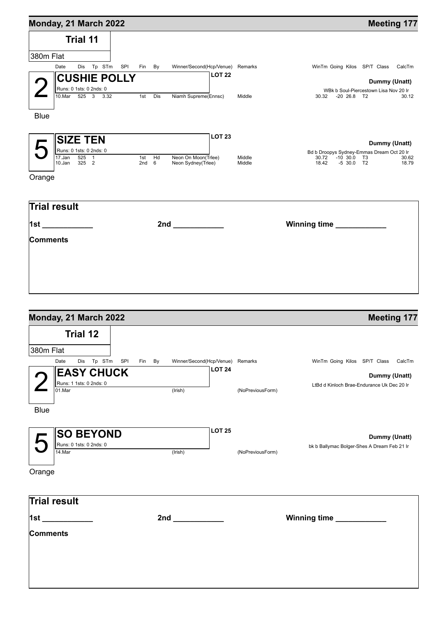| Monday, 21 March 2022                             |                        | <b>Meeting 177</b>                                                                                                                                                                                                             |                                                         |
|---------------------------------------------------|------------------------|--------------------------------------------------------------------------------------------------------------------------------------------------------------------------------------------------------------------------------|---------------------------------------------------------|
| <b>Trial 11</b>                                   |                        |                                                                                                                                                                                                                                |                                                         |
| 380m Flat                                         |                        |                                                                                                                                                                                                                                |                                                         |
| Date<br>Dis Tp STm SPI                            | Fin By                 | Winner/Second(Hcp/Venue) Remarks                                                                                                                                                                                               | WinTm Going Kilos SP/T Class CalcTm                     |
| <b>CUSHIE POLLY</b>                               |                        | <b>LOT 22</b>                                                                                                                                                                                                                  | Dummy (Unatt)                                           |
| Runs: 0 1sts: 0 2nds: 0                           |                        |                                                                                                                                                                                                                                | WBk b Soul-Piercestown Lisa Nov 20 Ir                   |
| 10.Mar 525 3 3.32                                 | 1st Dis                | Niamh Supreme(Ennsc)<br>Middle                                                                                                                                                                                                 | $-20$ 26.8 T2<br>30.32<br>30.12                         |
| <b>Blue</b>                                       |                        |                                                                                                                                                                                                                                |                                                         |
| <b>SIZE TEN</b>                                   |                        | <b>LOT 23</b>                                                                                                                                                                                                                  | Dummy (Unatt)                                           |
| Runs: 0 1sts: 0 2nds: 0                           |                        |                                                                                                                                                                                                                                | Bd b Droopys Sydney-Emmas Dream Oct 20 Ir               |
| $\overline{17.$ Jan<br>$525$ 1<br>325 2<br>10.Jan | 1st $Hd$<br>$2nd \t 6$ | Neon On Moon(Triee)<br>Middle<br>Middle<br>Neon Sydney(Trlee)                                                                                                                                                                  | 30.72 -10 30.0 T3<br>30.62<br>18.42 -5 30.0 T2<br>18.79 |
| Orange                                            |                        |                                                                                                                                                                                                                                |                                                         |
| Trial result                                      |                        |                                                                                                                                                                                                                                |                                                         |
| 1st ____________                                  |                        | 2nd and the contract of the contract of the contract of the contract of the contract of the contract of the contract of the contract of the contract of the contract of the contract of the contract of the contract of the co | Winning time ____________                               |
| Comments                                          |                        |                                                                                                                                                                                                                                |                                                         |
|                                                   |                        |                                                                                                                                                                                                                                |                                                         |
|                                                   |                        |                                                                                                                                                                                                                                |                                                         |
|                                                   |                        |                                                                                                                                                                                                                                |                                                         |
|                                                   |                        |                                                                                                                                                                                                                                |                                                         |
|                                                   |                        |                                                                                                                                                                                                                                |                                                         |
|                                                   |                        |                                                                                                                                                                                                                                |                                                         |

| Monday, 21 March 2022                 |        |                                                                                                                |               |                  | <b>Meeting 177</b>                          |
|---------------------------------------|--------|----------------------------------------------------------------------------------------------------------------|---------------|------------------|---------------------------------------------|
| <b>Trial 12</b>                       |        |                                                                                                                |               |                  |                                             |
| 380m Flat                             |        |                                                                                                                |               |                  |                                             |
| Dis Tp STm SPI<br>Date                | Fin By | Winner/Second(Hcp/Venue) Remarks                                                                               |               |                  | WinTm Going Kilos SP/T Class<br>CalcTm      |
| <b>EASY CHUCK</b>                     |        |                                                                                                                | <b>LOT 24</b> |                  | Dummy (Unatt)                               |
| Runs: 1 1sts: 0 2nds: 0               |        |                                                                                                                |               |                  | LtBd d Kinloch Brae-Endurance Uk Dec 20 Ir  |
| 01.Mar                                |        | (Irish)                                                                                                        |               | (NoPreviousForm) |                                             |
|                                       |        |                                                                                                                |               |                  |                                             |
| <b>Blue</b>                           |        |                                                                                                                |               |                  |                                             |
|                                       |        |                                                                                                                | <b>LOT 25</b> |                  |                                             |
| <b>SO BEYOND</b>                      |        |                                                                                                                |               |                  | Dummy (Unatt)                               |
| Runs: 0 1sts: 0 2nds: 0<br>$14$ . Mar |        | (Irish)                                                                                                        |               | (NoPreviousForm) | bk b Ballymac Bolger-Shes A Dream Feb 21 Ir |
|                                       |        |                                                                                                                |               |                  |                                             |
| Orange                                |        |                                                                                                                |               |                  |                                             |
|                                       |        |                                                                                                                |               |                  |                                             |
|                                       |        |                                                                                                                |               |                  |                                             |
| Trial result                          |        |                                                                                                                |               |                  |                                             |
| 1st _                                 |        | 2nd and the state of the state of the state of the state of the state of the state of the state of the state o |               |                  | Winning time ___________                    |
| Comments                              |        |                                                                                                                |               |                  |                                             |
|                                       |        |                                                                                                                |               |                  |                                             |
|                                       |        |                                                                                                                |               |                  |                                             |
|                                       |        |                                                                                                                |               |                  |                                             |
|                                       |        |                                                                                                                |               |                  |                                             |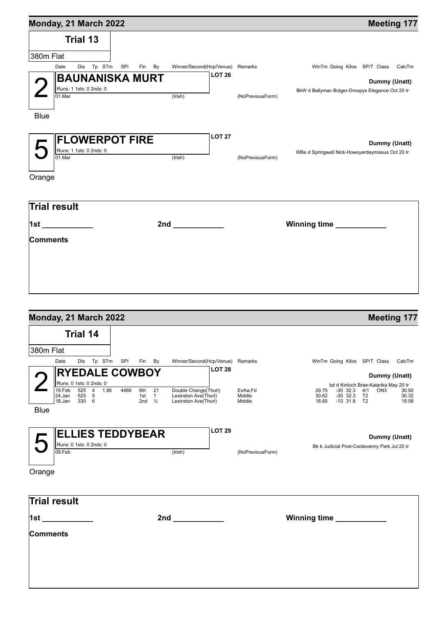| Monday, 21 March 2022                 |                                            |                  | <b>Meeting 177</b>                               |
|---------------------------------------|--------------------------------------------|------------------|--------------------------------------------------|
| <b>Trial 13</b>                       |                                            |                  |                                                  |
| 380m Flat                             |                                            |                  |                                                  |
| Dis Tp STm SPI<br>Date                | Winner/Second(Hcp/Venue) Remarks<br>Fin By |                  | WinTm Going Kilos SP/T Class CalcTm              |
| <b>BAUNANISKA MURT</b>                | <b>LOT 26</b>                              |                  | Dummy (Unatt)                                    |
| Runs: 1 1sts: 0 2nds: 0               |                                            |                  | BkW d Ballymac Bolger-Droopys Elegance Oct 20 Ir |
| $01$ . Mar                            | $($ lrish $)$                              | (NoPreviousForm) |                                                  |
| <b>Blue</b>                           |                                            |                  |                                                  |
|                                       |                                            |                  |                                                  |
|                                       | <b>LOT 27</b>                              |                  |                                                  |
| <b>FLOWERPOT FIRE</b>                 |                                            |                  | Dummy (Unatt)                                    |
| Runs: 1 1sts: 0 2nds: 0<br>$01$ . Mar | (Irish)                                    | (NoPreviousForm) | WBe d Springwell Nick-Howsyerdaymissus Oct 20 Ir |
|                                       |                                            |                  |                                                  |
| Orange                                |                                            |                  |                                                  |
|                                       |                                            |                  |                                                  |
| <b>Trial result</b>                   |                                            |                  |                                                  |
|                                       |                                            |                  |                                                  |
| 1st ____________                      | $2nd$ 2nd                                  |                  | Winning time __________                          |
| Comments                              |                                            |                  |                                                  |
|                                       |                                            |                  |                                                  |
|                                       |                                            |                  |                                                  |
|                                       |                                            |                  |                                                  |
|                                       |                                            |                  |                                                  |
|                                       |                                            |                  |                                                  |

|                 | Monday, 21 March 2022             |                     |                                   |      |                         |                   |                                       |                                                                      |                             |                                                                                  | <b>Meeting 177</b>                                                                              |
|-----------------|-----------------------------------|---------------------|-----------------------------------|------|-------------------------|-------------------|---------------------------------------|----------------------------------------------------------------------|-----------------------------|----------------------------------------------------------------------------------|-------------------------------------------------------------------------------------------------|
|                 |                                   | <b>Trial 14</b>     |                                   |      |                         |                   |                                       |                                                                      |                             |                                                                                  |                                                                                                 |
| 380m Flat       |                                   |                     |                                   |      |                         |                   |                                       |                                                                      |                             |                                                                                  |                                                                                                 |
|                 | Date                              | Dis                 | Tp STm                            |      | SPI                     |                   | Fin By                                | Winner/Second(Hcp/Venue) Remarks                                     |                             | WinTm Going Kilos SP/T Class                                                     | CalcTm                                                                                          |
|                 |                                   |                     |                                   |      | <b>RYEDALE COWBOY</b>   |                   |                                       | <b>LOT 28</b>                                                        |                             |                                                                                  | Dummy (Unatt)                                                                                   |
|                 | Runs: 0 1sts: 0 2nds: 0           |                     |                                   |      |                         |                   |                                       |                                                                      |                             |                                                                                  |                                                                                                 |
|                 | 19.Feb<br>24.Jan<br>18.Jan        | 525<br>525<br>330 6 | $\overline{4}$<br>$5\overline{)}$ | 1.86 | 4466                    | 6th<br>1st<br>2nd | 21<br>$\overline{1}$<br>$\frac{1}{2}$ | Double Change(Thurl)<br>Lexinston Ave(Thurl)<br>Lexinston Ave(Thurl) | EvAw,Fd<br>Middle<br>Middle | $-30$ 32.3<br>29.75<br>$-30$ 32.3<br>30.62<br>18.65<br>$-10$ 31.8 T <sub>2</sub> | bd d Kinloch Brae-Kalarika May 20 Ir<br>4/1<br>ON <sub>3</sub><br>30.92<br>T2<br>30.32<br>18.58 |
| <b>Blue</b>     |                                   |                     |                                   |      |                         |                   |                                       |                                                                      |                             |                                                                                  |                                                                                                 |
| Orange          | Runs: 0 1sts: 0 2nds: 0<br>09.Feb |                     |                                   |      | <b>ELLIES TEDDYBEAR</b> |                   |                                       | <b>LOT 29</b><br>(Irish)                                             | (NoPreviousForm)            | Bk b Judicial Post-Coolavanny Park Jul 20 Ir                                     | Dummy (Unatt)                                                                                   |
|                 | Trial result                      |                     |                                   |      |                         |                   |                                       |                                                                      |                             |                                                                                  |                                                                                                 |
| 1st             |                                   |                     |                                   |      |                         |                   |                                       | 2nd                                                                  |                             | Winning time                                                                     |                                                                                                 |
| <b>Comments</b> |                                   |                     |                                   |      |                         |                   |                                       |                                                                      |                             |                                                                                  |                                                                                                 |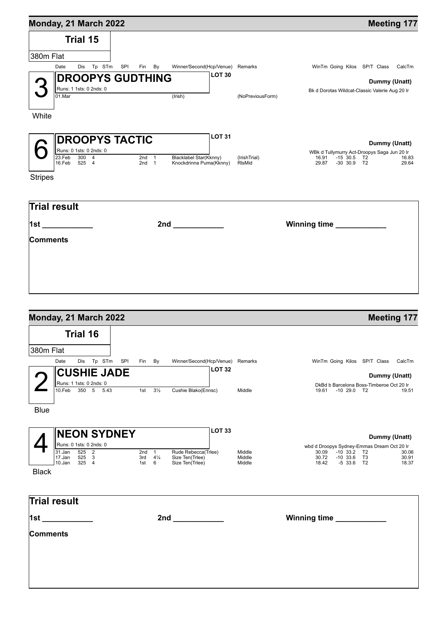| Monday, 21 March 2022                            |                                                                             |                                                                                             | <b>Meeting 177</b> |
|--------------------------------------------------|-----------------------------------------------------------------------------|---------------------------------------------------------------------------------------------|--------------------|
| <b>Trial 15</b>                                  |                                                                             |                                                                                             |                    |
| 380m Flat                                        |                                                                             |                                                                                             |                    |
| Dis Tp STm SPI<br>Date                           | Winner/Second(Hcp/Venue) Remarks<br>Fin By                                  | WinTm Going Kilos SP/T Class CalcTm                                                         |                    |
| Runs: 1 1sts: 0 2nds: 0<br>01.Mar                | <b>LOT 30</b><br><b>DROOPYS GUDTHING</b><br>(Irish)                         | Bk d Dorotas Wildcat-Classic Valerie Aug 20 Ir<br>(NoPreviousForm)                          | Dummy (Unatt)      |
| White                                            |                                                                             |                                                                                             |                    |
| <b>DROOPYS TACTIC</b><br>Runs: 0 1sts: 0 2nds: 0 | <b>LOT 31</b>                                                               | WBk d Tullymurry Act-Droopys Saga Jun 20 Ir                                                 | Dummy (Unatt)      |
| 23.Feb<br>$300 \overline{4}$<br>525 4<br>16.Feb  | $2nd \t1$<br>Blacklabel Star(Kknny)<br>Knockdrinna Puma(Kknny)<br>$2nd \t1$ | (IrishTrial)<br>16.91<br>-15 30.5 T2<br><b>RIsMid</b><br>29.87<br>$-30$ 30.9 T <sub>2</sub> | 16.83<br>29.64     |
| <b>Stripes</b>                                   |                                                                             |                                                                                             |                    |
| <b>Trial result</b>                              |                                                                             |                                                                                             |                    |
| 1st ___________                                  |                                                                             | Winning time                                                                                |                    |
| <b>Comments</b>                                  |                                                                             |                                                                                             |                    |
|                                                  |                                                                             |                                                                                             |                    |
|                                                  |                                                                             |                                                                                             |                    |
|                                                  |                                                                             |                                                                                             |                    |
|                                                  |                                                                             |                                                                                             |                    |
| Monday, 21 March 2022                            |                                                                             |                                                                                             | <b>Meeting 177</b> |

|                            |                  | <b>Trial 16</b> |                         |                    |            |                     |                                    |                  |                                                                                     |
|----------------------------|------------------|-----------------|-------------------------|--------------------|------------|---------------------|------------------------------------|------------------|-------------------------------------------------------------------------------------|
| 380m Flat                  |                  |                 |                         |                    |            |                     |                                    |                  |                                                                                     |
|                            | Date             | Dis             | Tp STm                  | SPI                |            | Fin By              | Winner/Second(Hcp/Venue) Remarks   |                  | WinTm Going Kilos SP/T Class<br>CalcTm                                              |
|                            |                  |                 |                         | <b>CUSHIE JADE</b> |            |                     | <b>LOT 32</b>                      |                  | Dummy (Unatt)                                                                       |
|                            |                  |                 | Runs: 1 1sts: 0 2nds: 0 |                    |            |                     |                                    |                  | DkBd b Barcelona Boss-Timberoe Oct 20 Ir                                            |
|                            | 10.Feb           | $350 - 5$       | 5.43                    |                    | 1st        | $3\frac{1}{2}$      | Cushie Blako(Ennsc)                | Middle           | $-10$ 29.0 T2<br>19.61<br>19.51                                                     |
| <b>Blue</b>                |                  |                 |                         |                    |            |                     |                                    |                  |                                                                                     |
|                            |                  |                 |                         | <b>NEON SYDNEY</b> |            |                     | <b>LOT 33</b>                      |                  | Dummy (Unatt)                                                                       |
|                            | $31$ .Jan        | 525 2           | Runs: 0 1sts: 0 2nds: 0 |                    | $2nd \t1$  |                     | Rude Rebecca(Trlee)                | Middle           | wbd d Droopys Sydney-Emmas Dream Oct 20 Ir<br>30.09<br>$-10$ 33.2<br>T2<br>30.06    |
|                            | 17.Jan<br>10.Jan | 525 3<br>325 4  |                         |                    | 3rd<br>1st | $4\frac{1}{4}$<br>6 | Size Ten(Trlee)<br>Size Ten(Trlee) | Middle<br>Middle | 30.72<br>$-10$ 33.6<br>T3<br>30.91<br>18.42<br>$-5$ 33.6<br>T <sub>2</sub><br>18.37 |
| <b>Black</b>               |                  |                 |                         |                    |            |                     |                                    |                  |                                                                                     |
| <b>Trial result</b><br>1st |                  |                 |                         |                    |            |                     | 2nd                                |                  | Winning time                                                                        |
| <b>Comments</b>            |                  |                 |                         |                    |            |                     |                                    |                  |                                                                                     |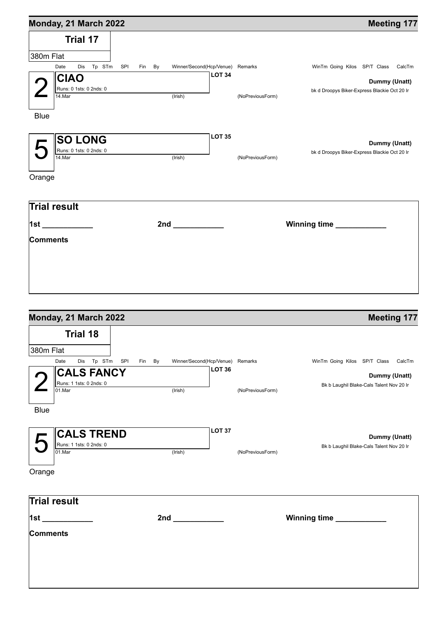| Monday, 21 March 2022             |        |                                  |                  | <b>Meeting 177</b>                           |
|-----------------------------------|--------|----------------------------------|------------------|----------------------------------------------|
| Trial 17                          |        |                                  |                  |                                              |
| 380m Flat                         |        |                                  |                  |                                              |
| Date<br>Dis Tp STm SPI            | Fin By | Winner/Second(Hcp/Venue) Remarks |                  | WinTm Going Kilos SP/T Class CalcTm          |
| <b>CIAO</b>                       |        | <b>LOT 34</b>                    |                  | Dummy (Unatt)                                |
| Runs: 0 1sts: 0 2nds: 0<br>14.Mar |        | $($ lrish $)$                    | (NoPreviousForm) | bk d Droopys Biker-Express Blackie Oct 20 Ir |
| <b>Blue</b>                       |        |                                  |                  |                                              |
| <b>SO LONG</b>                    |        | LOT <sub>35</sub>                |                  | Dummy (Unatt)                                |
| Runs: 0 1sts: 0 2nds: 0<br>14.Mar |        | (Irish)                          | (NoPreviousForm) | bk d Droopys Biker-Express Blackie Oct 20 Ir |
| Orange                            |        |                                  |                  |                                              |
| <b>Trial result</b>               |        |                                  |                  |                                              |
| 1st ____________                  |        |                                  |                  |                                              |
| <b>Comments</b>                   |        |                                  |                  |                                              |
|                                   |        |                                  |                  |                                              |
|                                   |        |                                  |                  |                                              |
|                                   |        |                                  |                  |                                              |
|                                   |        |                                  |                  |                                              |
| Mandeu Od Marsh 0000              |        |                                  |                  | $M = 4! \times 4!$                           |

| Monday, 21 March 2022                 |                                                                                                                                                                                                                                | <b>Meeting 177</b> |                                          |  |
|---------------------------------------|--------------------------------------------------------------------------------------------------------------------------------------------------------------------------------------------------------------------------------|--------------------|------------------------------------------|--|
| <b>Trial 18</b>                       |                                                                                                                                                                                                                                |                    |                                          |  |
| 380m Flat                             |                                                                                                                                                                                                                                |                    |                                          |  |
| Dis Tp STm SPI<br>Date<br>Fin By      | Winner/Second(Hcp/Venue) Remarks                                                                                                                                                                                               |                    | WinTm Going Kilos SP/T Class CalcTm      |  |
| <b>CALS FANCY</b>                     | <b>LOT 36</b>                                                                                                                                                                                                                  |                    | Dummy (Unatt)                            |  |
| Runs: 1 1sts: 0 2nds: 0               |                                                                                                                                                                                                                                |                    | Bk b Laughil Blake-Cals Talent Nov 20 Ir |  |
| 01.Mar                                | (Irish)                                                                                                                                                                                                                        | (NoPreviousForm)   |                                          |  |
| <b>Blue</b>                           |                                                                                                                                                                                                                                |                    |                                          |  |
|                                       |                                                                                                                                                                                                                                |                    |                                          |  |
|                                       | <b>LOT 37</b>                                                                                                                                                                                                                  |                    |                                          |  |
| <b>CALS TREND</b>                     |                                                                                                                                                                                                                                |                    | Dummy (Unatt)                            |  |
| Runs: 1 1sts: 0 2nds: 0<br>$01$ . Mar | (Irish)                                                                                                                                                                                                                        | (NoPreviousForm)   | Bk b Laughil Blake-Cals Talent Nov 20 Ir |  |
|                                       |                                                                                                                                                                                                                                |                    |                                          |  |
| Orange                                |                                                                                                                                                                                                                                |                    |                                          |  |
|                                       |                                                                                                                                                                                                                                |                    |                                          |  |
|                                       |                                                                                                                                                                                                                                |                    |                                          |  |
| Trial result                          |                                                                                                                                                                                                                                |                    |                                          |  |
| <u> 1st_____________</u>              | 2nd and the contract of the contract of the contract of the contract of the contract of the contract of the contract of the contract of the contract of the contract of the contract of the contract of the contract of the co |                    | Winning time _____________               |  |
| Comments                              |                                                                                                                                                                                                                                |                    |                                          |  |
|                                       |                                                                                                                                                                                                                                |                    |                                          |  |
|                                       |                                                                                                                                                                                                                                |                    |                                          |  |
|                                       |                                                                                                                                                                                                                                |                    |                                          |  |
|                                       |                                                                                                                                                                                                                                |                    |                                          |  |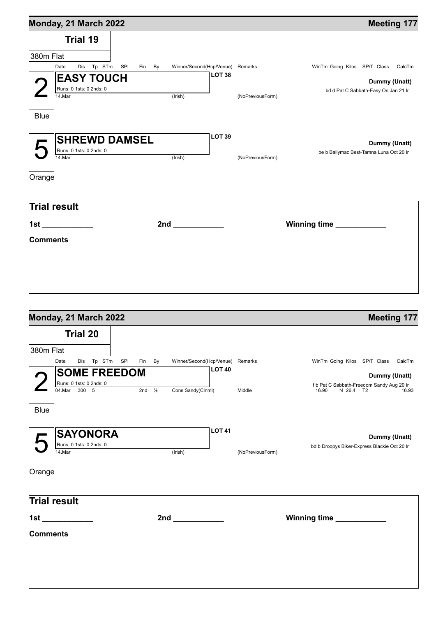| WinTm Going Kilos SP/T Class CalcTm<br>Dummy (Unatt)<br>bd d Pat C Sabbath-Easy On Jan 21 Ir<br>Dummy (Unatt)<br>be b Ballymac Best-Tamna Luna Oct 20 Ir |
|----------------------------------------------------------------------------------------------------------------------------------------------------------|
|                                                                                                                                                          |
|                                                                                                                                                          |
|                                                                                                                                                          |
|                                                                                                                                                          |
|                                                                                                                                                          |
|                                                                                                                                                          |
|                                                                                                                                                          |
|                                                                                                                                                          |
|                                                                                                                                                          |
|                                                                                                                                                          |
|                                                                                                                                                          |
|                                                                                                                                                          |
|                                                                                                                                                          |
|                                                                                                                                                          |
|                                                                                                                                                          |
| Winning time ___________                                                                                                                                 |
|                                                                                                                                                          |
|                                                                                                                                                          |
|                                                                                                                                                          |
|                                                                                                                                                          |
|                                                                                                                                                          |
|                                                                                                                                                          |
|                                                                                                                                                          |
| <b>Meeting 177</b>                                                                                                                                       |
|                                                                                                                                                          |
|                                                                                                                                                          |
| WinTm Going Kilos SP/T Class<br>CalcTm                                                                                                                   |
|                                                                                                                                                          |
|                                                                                                                                                          |
| Dummy (Unatt)                                                                                                                                            |
| f b Pat C Sabbath-Freedom Sandy Aug 20 Ir                                                                                                                |
| 16.93                                                                                                                                                    |
|                                                                                                                                                          |

| $\mathbf{F}$ SAYONORA                            |         | <b>LOT 41</b>    | Dummy (Unatt)                                |
|--------------------------------------------------|---------|------------------|----------------------------------------------|
| $\overline{\mathsf{II}}$ Runs: 0 1sts: 0 2nds: 0 |         |                  | bd b Droopys Biker-Express Blackie Oct 20 Ir |
| 14.Mar                                           | (Irish) | (NoPreviousForm) |                                              |

| .)range |
|---------|
|---------|

| <b>Trial result</b> |     |                          |
|---------------------|-----|--------------------------|
| $\vert$ 1st         | 2nd | Winning time ___________ |
| <b>Comments</b>     |     |                          |
|                     |     |                          |
|                     |     |                          |